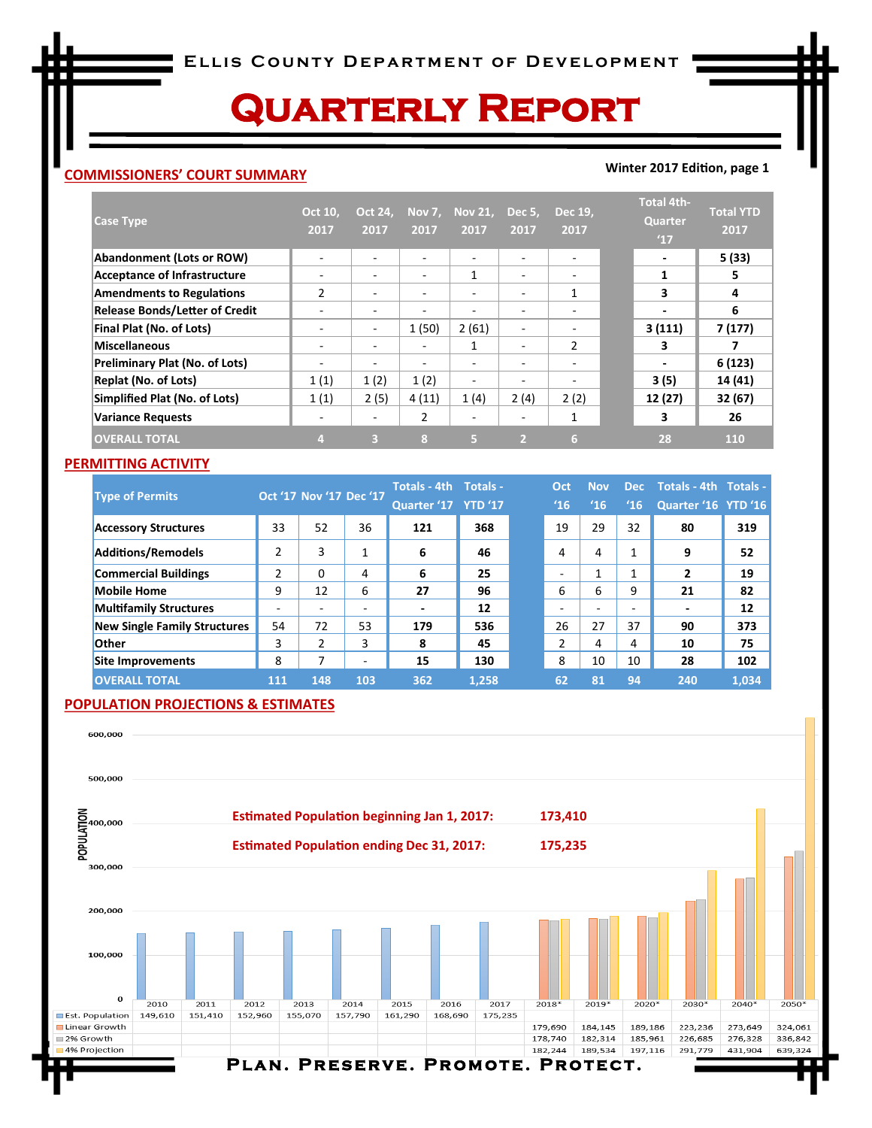# **Quarterly Report**

### **COMMISSIONERS' COURT SUMMARY**

#### **Winter 2017 Edition, page 1**

| <b>Case Type</b>                      | Oct 10,<br>2017 | <b>Oct 24,</b><br>2017   | Nov 7,<br>2017 | <b>Nov 21,</b><br>2017 | Dec 5,<br>2017           | Dec 19,<br>2017          | <b>Total 4th-</b><br>Quarter<br>'17 | <b>Total YTD</b><br>2017 |
|---------------------------------------|-----------------|--------------------------|----------------|------------------------|--------------------------|--------------------------|-------------------------------------|--------------------------|
| <b>Abandonment (Lots or ROW)</b>      | ۰               | ٠                        |                | ٠                      | $\overline{\phantom{a}}$ | ٠                        | $\overline{\phantom{a}}$            | 5(33)                    |
| <b>Acceptance of Infrastructure</b>   | ۰               | $\overline{\phantom{a}}$ |                | 1                      | $\overline{\phantom{0}}$ | -                        | 1                                   | 5                        |
| <b>Amendments to Regulations</b>      | $\overline{2}$  | ٠                        |                | ٠                      | $\overline{\phantom{0}}$ | 1                        | 3                                   | 4                        |
| <b>Release Bonds/Letter of Credit</b> | ۰               | $\overline{\phantom{a}}$ |                | ٠                      |                          |                          | $\blacksquare$                      | 6                        |
| Final Plat (No. of Lots)              | ۰               | $\overline{\phantom{a}}$ | 1(50)          | 2(61)                  | $\overline{\phantom{a}}$ | $\overline{\phantom{a}}$ | 3(111)                              | 7(177)                   |
| <b>Miscellaneous</b>                  | ۰               | $\overline{\phantom{a}}$ | -              | 1                      | $\overline{\phantom{a}}$ | $\overline{2}$           | 3                                   |                          |
| Preliminary Plat (No. of Lots)        | ۰               | $\overline{\phantom{a}}$ |                | ۰                      |                          | -                        | $\overline{a}$                      | 6(123)                   |
| <b>Replat (No. of Lots)</b>           | 1(1)            | 1(2)                     | 1(2)           | ۰                      | $\overline{\phantom{0}}$ | ۰                        | 3(5)                                | 14 (41)                  |
| Simplified Plat (No. of Lots)         | 1(1)            | 2(5)                     | 4(11)          | 1(4)                   | 2(4)                     | 2(2)                     | 12 (27)                             | 32(67)                   |
| <b>Variance Requests</b>              | -               | $\overline{\phantom{a}}$ | 2              | ۰                      | $\overline{\phantom{0}}$ |                          | 3                                   | 26                       |
| <b>OVERALL TOTAL</b>                  |                 | в                        | $\mathbf{g}$   | Б                      | $\overline{2}$           | 6                        | 28                                  | <b>110</b>               |

### **PERMITTING ACTIVITY**

| <b>Type of Permits</b>              |                          |     | Oct '17 Nov '17 Dec '17  | Totals - 4th Totals -    |       | Oct | <b>Nov</b> | <b>Dec</b> | Totals - 4th Totals -    |       |
|-------------------------------------|--------------------------|-----|--------------------------|--------------------------|-------|-----|------------|------------|--------------------------|-------|
|                                     |                          |     |                          | Quarter '17 YTD '17      |       | '16 | 16         | 16         | Quarter '16 YTD '16      |       |
| <b>Accessory Structures</b>         | 33                       | 52  | 36                       | 121                      | 368   | 19  | 29         | 32         | 80                       | 319   |
| <b>Additions/Remodels</b>           | 2                        | 3   | 1                        | 6                        | 46    | 4   | 4          | 1          | 9                        | 52    |
| <b>Commercial Buildings</b>         | 2                        | 0   | 4                        | 6                        | 25    |     | 4          |            | $\overline{2}$           | 19    |
| <b>Mobile Home</b>                  | 9                        | 12  | 6                        | 27                       | 96    | 6   | 6          | 9          | 21                       | 82    |
| <b>Multifamily Structures</b>       | $\overline{\phantom{0}}$ | ٠   | $\overline{\phantom{a}}$ | $\overline{\phantom{0}}$ | 12    | -   | -          |            | $\overline{\phantom{0}}$ | 12    |
| <b>New Single Family Structures</b> | 54                       | 72  | 53                       | 179                      | 536   | 26  | 27         | 37         | 90                       | 373   |
| <b>Other</b>                        | 3                        | 2   | 3                        | 8                        | 45    | 2   | 4          | 4          | 10                       | 75    |
| <b>Site Improvements</b>            | 8                        | ⇁   | $\overline{\phantom{a}}$ | 15                       | 130   | 8   | 10         | 10         | 28                       | 102   |
| <b>OVERALL TOTAL</b>                | 111                      | 148 | 103                      | 362                      | 1.258 | 62  | 81         | 94         | 240                      | 1,034 |

## **POPULATION PROJECTIONS & ESTIMATES**